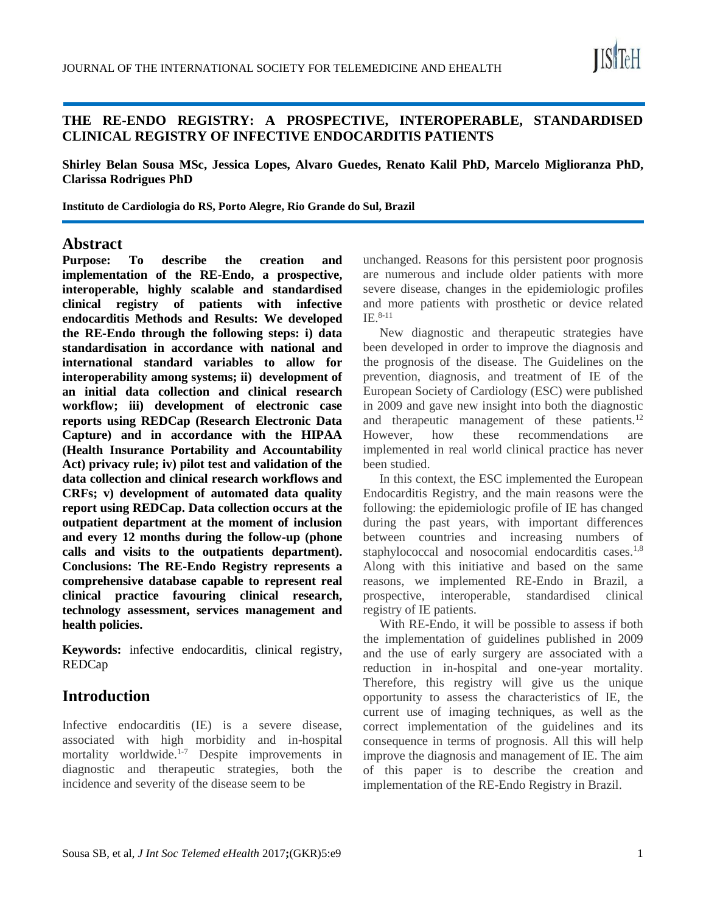

### **THE RE-ENDO REGISTRY: A PROSPECTIVE, INTEROPERABLE, STANDARDISED CLINICAL REGISTRY OF INFECTIVE ENDOCARDITIS PATIENTS**

**Shirley Belan Sousa MSc, Jessica Lopes, Alvaro Guedes, Renato Kalil PhD, Marcelo Miglioranza PhD, Clarissa Rodrigues PhD**

**Instituto de Cardiologia do RS, Porto Alegre, Rio Grande do Sul, Brazil**

### **Abstract**

**Purpose: To describe the creation and implementation of the RE-Endo, a prospective, interoperable, highly scalable and standardised clinical registry of patients with infective endocarditis Methods and Results: We developed the RE-Endo through the following steps: i) data standardisation in accordance with national and international standard variables to allow for interoperability among systems; ii) development of an initial data collection and clinical research workflow; iii) development of electronic case reports using REDCap (Research Electronic Data Capture) and in accordance with the HIPAA (Health Insurance Portability and Accountability Act) privacy rule; iv) pilot test and validation of the data collection and clinical research workflows and CRFs; v) development of automated data quality report using REDCap. Data collection occurs at the outpatient department at the moment of inclusion and every 12 months during the follow-up (phone calls and visits to the outpatients department). Conclusions: The RE-Endo Registry represents a comprehensive database capable to represent real clinical practice favouring clinical research, technology assessment, services management and health policies.**

**Keywords:** infective endocarditis, clinical registry, REDCap

## **Introduction**

Infective endocarditis (IE) is a severe disease, associated with high morbidity and in-hospital mortality worldwide.<sup>1-7</sup> Despite improvements in diagnostic and therapeutic strategies, both the incidence and severity of the disease seem to be

unchanged. Reasons for this persistent poor prognosis are numerous and include older patients with more severe disease, changes in the epidemiologic profiles and more patients with prosthetic or device related  $IE.$ <sup>8-11</sup>

New diagnostic and therapeutic strategies have been developed in order to improve the diagnosis and the prognosis of the disease. The Guidelines on the prevention, diagnosis, and treatment of IE of the European Society of Cardiology (ESC) were published in 2009 and gave new insight into both the diagnostic and therapeutic management of these patients.<sup>12</sup> However, how these recommendations are implemented in real world clinical practice has never been studied.

In this context, the ESC implemented the European Endocarditis Registry, and the main reasons were the following: the epidemiologic profile of IE has changed during the past years, with important differences between countries and increasing numbers of staphylococcal and nosocomial endocarditis cases.<sup>1,8</sup> Along with this initiative and based on the same reasons, we implemented RE-Endo in Brazil, a prospective, interoperable, standardised clinical registry of IE patients.

With RE-Endo, it will be possible to assess if both the implementation of guidelines published in 2009 and the use of early surgery are associated with a reduction in in-hospital and one-year mortality. Therefore, this registry will give us the unique opportunity to assess the characteristics of IE, the current use of imaging techniques, as well as the correct implementation of the guidelines and its consequence in terms of prognosis. All this will help improve the diagnosis and management of IE. The aim of this paper is to describe the creation and implementation of the RE-Endo Registry in Brazil.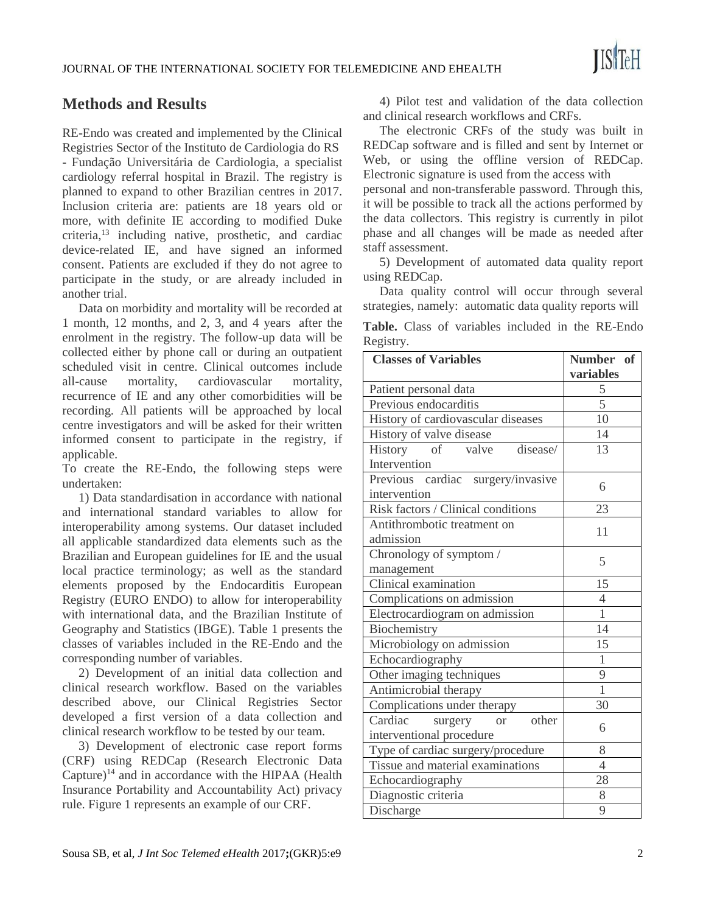# **Methods and Results**

RE-Endo was created and implemented by the Clinical Registries Sector of the Instituto de Cardiologia do RS - Fundação Universitária de Cardiologia, a specialist cardiology referral hospital in Brazil. The registry is planned to expand to other Brazilian centres in 2017. Inclusion criteria are: patients are 18 years old or more, with definite IE according to modified Duke criteria,<sup>13</sup> including native, prosthetic, and cardiac device-related IE, and have signed an informed consent. Patients are excluded if they do not agree to participate in the study, or are already included in another trial.

Data on morbidity and mortality will be recorded at 1 month, 12 months, and 2, 3, and 4 years after the enrolment in the registry. The follow-up data will be collected either by phone call or during an outpatient scheduled visit in centre. Clinical outcomes include all-cause mortality, cardiovascular mortality, recurrence of IE and any other comorbidities will be recording. All patients will be approached by local centre investigators and will be asked for their written informed consent to participate in the registry, if applicable.

To create the RE-Endo, the following steps were undertaken:

1) Data standardisation in accordance with national and international standard variables to allow for interoperability among systems. Our dataset included all applicable standardized data elements such as the Brazilian and European guidelines for IE and the usual local practice terminology; as well as the standard elements proposed by the Endocarditis European Registry (EURO ENDO) to allow for interoperability with international data, and the Brazilian Institute of Geography and Statistics (IBGE). Table 1 presents the classes of variables included in the RE-Endo and the corresponding number of variables.

2) Development of an initial data collection and clinical research workflow. Based on the variables described above, our Clinical Registries Sector developed a first version of a data collection and clinical research workflow to be tested by our team.

3) Development of electronic case report forms (CRF) using REDCap (Research Electronic Data Capture)<sup>14</sup> and in accordance with the HIPAA (Health Insurance Portability and Accountability Act) privacy rule. Figure 1 represents an example of our CRF.

4) Pilot test and validation of the data collection and clinical research workflows and CRFs.

The electronic CRFs of the study was built in REDCap software and is filled and sent by Internet or Web, or using the offline version of REDCap. Electronic signature is used from the access with personal and non-transferable password. Through this, it will be possible to track all the actions performed by

the data collectors. This registry is currently in pilot phase and all changes will be made as needed after staff assessment.

5) Development of automated data quality report using REDCap.

Data quality control will occur through several strategies, namely: automatic data quality reports will

|           |  |  |  | <b>Table.</b> Class of variables included in the RE-Endo |
|-----------|--|--|--|----------------------------------------------------------|
| Registry. |  |  |  |                                                          |

| <b>Classes of Variables</b>             | Number of<br>variables |  |  |  |
|-----------------------------------------|------------------------|--|--|--|
| Patient personal data                   | 5                      |  |  |  |
| Previous endocarditis                   | $\overline{5}$         |  |  |  |
| History of cardiovascular diseases      | 10                     |  |  |  |
| History of valve disease                | 14                     |  |  |  |
| of valve disease/<br><b>History</b>     | 13                     |  |  |  |
| Intervention                            |                        |  |  |  |
| Previous cardiac surgery/invasive       |                        |  |  |  |
| intervention                            | 6                      |  |  |  |
| Risk factors / Clinical conditions      | 23                     |  |  |  |
| Antithrombotic treatment on             | 11                     |  |  |  |
| admission                               |                        |  |  |  |
| Chronology of symptom /                 | 5                      |  |  |  |
| management                              |                        |  |  |  |
| Clinical examination                    | 15                     |  |  |  |
| Complications on admission              | $\overline{4}$         |  |  |  |
| Electrocardiogram on admission          | $\overline{1}$         |  |  |  |
| Biochemistry                            | 14                     |  |  |  |
| Microbiology on admission               | 15                     |  |  |  |
| Echocardiography                        | $\mathbf{1}$           |  |  |  |
| Other imaging techniques                | $\overline{9}$         |  |  |  |
| Antimicrobial therapy                   | $\overline{1}$         |  |  |  |
| Complications under therapy             | 30                     |  |  |  |
| Cardiac<br>other<br>surgery<br>$\alpha$ | 6                      |  |  |  |
| interventional procedure                |                        |  |  |  |
| Type of cardiac surgery/procedure       | 8                      |  |  |  |
| Tissue and material examinations        | $\overline{4}$         |  |  |  |
| Echocardiography                        | 28                     |  |  |  |
| Diagnostic criteria                     | 8                      |  |  |  |
| Discharge                               | 9                      |  |  |  |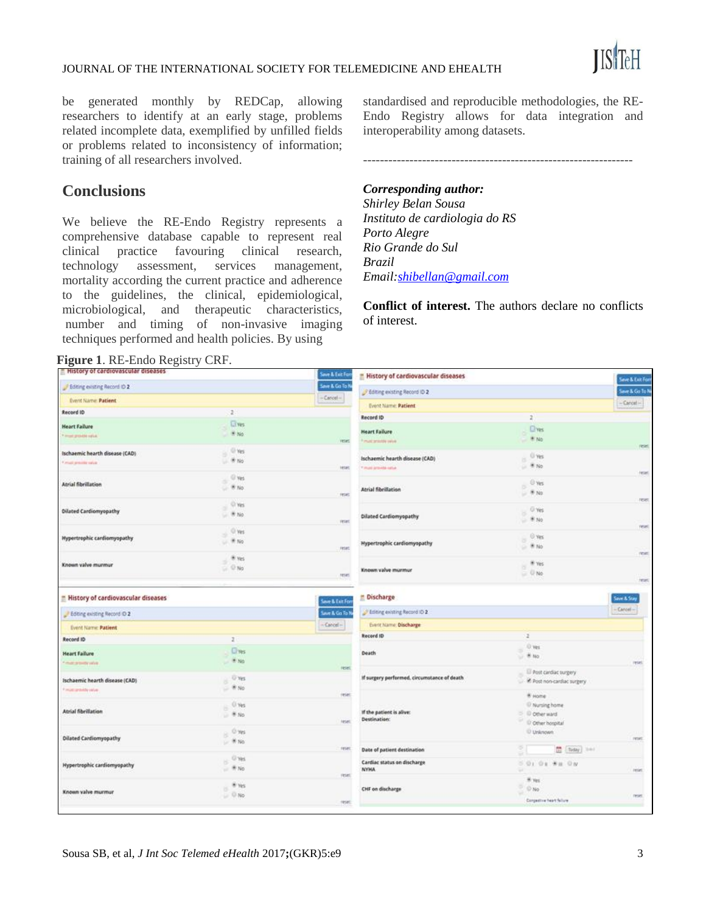

#### JOURNAL OF THE INTERNATIONAL SOCIETY FOR TELEMEDICINE AND EHEALTH

be generated monthly by REDCap, allowing researchers to identify at an early stage, problems related incomplete data, exemplified by unfilled fields or problems related to inconsistency of information; training of all researchers involved.

## **Conclusions**

We believe the RE-Endo Registry represents a comprehensive database capable to represent real clinical practice favouring clinical research, technology assessment, services management, mortality according the current practice and adherence to the guidelines, the clinical, epidemiological, microbiological, and therapeutic characteristics, number and timing of non-invasive imaging techniques performed and health policies. By using

standardised and reproducible methodologies, the RE-Endo Registry allows for data integration and interoperability among datasets.

----------------------------------------------------------------

#### *Corresponding author:*

*Shirley Belan Sousa Instituto de cardiologia do RS Porto Alegre Rio Grande do Sul Brazil Email[:shibellan@gmail.com](mailto:shibellan@gmail.com)*

**Conflict of interest.** The authors declare no conflicts of interest.

**Figure 1**. RE-Endo Registry CRF.

| - History of cardiovascular diseases           |                         | Save & Exit For              | History of cardiovascular diseases          |                                | <b>Seve &amp; Exit For</b> |  |
|------------------------------------------------|-------------------------|------------------------------|---------------------------------------------|--------------------------------|----------------------------|--|
| Fiditing existing Record ID 2                  |                         | Save & Go To N<br>$-Cercol-$ | F Editing existing Record ID 2              |                                | Seve & Go To ?             |  |
| Event Name: Patient                            |                         |                              | <b>Event Name: Patient</b>                  |                                | $-$ Cancel $-$             |  |
| Record ID                                      | z.                      |                              | Record ID                                   | $\mathbf{2}$                   |                            |  |
| <b>Heart Failure</b>                           | <b>Elves</b>            |                              |                                             |                                |                            |  |
| <b>Finanzione ratio</b>                        | $+16$                   |                              | <b>Heart Failure</b>                        | $Q$ yes<br>W No                |                            |  |
|                                                |                         | reset                        | <sup>4</sup> must amount yelve              |                                | reset                      |  |
| Ischaemic hearth disease (CAD)                 | O'Ves<br>×<br>$W = W_0$ |                              | Ischaemic hearth disease (CAD)              | U'ves<br>×                     |                            |  |
| Final presticute                               |                         | tese:                        | Timed provide sales                         | $= 8N0$                        |                            |  |
|                                                | O'ves                   |                              |                                             |                                | reset                      |  |
| <b>Atrial fibrillation</b>                     | $-8N0$                  |                              | <b>Atrial fibriliation</b>                  | O'ves<br>is.                   |                            |  |
|                                                |                         | rese:                        |                                             | $-8N0$                         | reset                      |  |
| <b>Dilated Cardiomyopathy</b>                  | $^{\circ}$ Ves          |                              |                                             | O Yes                          |                            |  |
|                                                | $-$ W No                | reset                        | Dilated Cardiomyopathy                      | $= 8N0$                        |                            |  |
|                                                | $ 0$ yes                |                              |                                             |                                | reset                      |  |
| Hypertrophic cardiomyopathy                    | $- 100$                 |                              |                                             | O Yes                          |                            |  |
|                                                |                         | reset                        | <b>Hypertrophic cardiomyopathy</b>          | $= 8N0$                        | reser                      |  |
|                                                | * yes                   |                              |                                             |                                |                            |  |
| Known valve murmur                             | $\cup$ $@$ No           |                              | Known valve murmur                          | $\approx$ Ws<br>$= 0$ No       |                            |  |
|                                                |                         | reses                        |                                             |                                | <b>Jeset</b>               |  |
| - History of cardiovascular diseases           |                         |                              | <b>E</b> Discharge                          |                                | Save & Stay                |  |
|                                                |                         | Save & Exit Forn             |                                             |                                |                            |  |
| Editing existing Record O 2                    |                         | Save & Go To N               | Editing existing Record ID 2                |                                | $-$ Cancel $-$             |  |
| <b>Event Name: Patient</b>                     |                         | $-$ Cancel $-$               | Event Name: Discharge                       |                                |                            |  |
| Record ID                                      | 2 <sup>1</sup>          |                              | Record ID                                   | ×                              |                            |  |
|                                                | <b>Cives</b>            |                              |                                             | O yes                          |                            |  |
| <b>Heart Failure</b><br><b>Finanzione alla</b> | * No                    |                              | Death                                       | $+$ Mo                         | reset                      |  |
|                                                |                         | reset                        |                                             | Post circlac surgery           |                            |  |
| Ischaemic hearth disease (CAD)                 | U Yes<br>$-$ W No       |                              | If surgery performed, circumstance of death | R Post non-cardiac surgery     |                            |  |
| Finanzanisti vida                              |                         |                              |                                             |                                |                            |  |
|                                                |                         | yeses:                       |                                             | W Home                         |                            |  |
| <b>Atrial fibrillation</b>                     | O Yes<br>s<br>$-8N0$    |                              | If the patient is alive:                    | II Nursing home<br>C Diperward |                            |  |
|                                                |                         | <b>Fight</b>                 | <b>Destination:</b>                         | O Other hospital               |                            |  |
|                                                | C yes<br>B              |                              |                                             | Unknown                        |                            |  |
| <b>Dilated Cardiomyopathy</b>                  | $= 0.16$                |                              |                                             |                                | reser                      |  |
|                                                |                         | reset                        | Date of patient destination                 | 죄<br>the [ Today] (Inc.)       |                            |  |
| Hypertrophic cardiomyopathy                    | C'res<br>×              |                              | Cardiac status on discharge<br><b>NYHA</b>  | 5.01.01.98.08                  |                            |  |
|                                                | $= 90N0$                | yeses.                       |                                             | w                              | reset                      |  |
|                                                | W Yes                   |                              |                                             | W Yes                          |                            |  |
| Known valve murmur                             | ×<br>$= 0$ No           |                              | CHF on discharge                            | $-$ 0 No                       | reset.                     |  |
|                                                |                         | reset:                       |                                             | Corporate North Store          |                            |  |